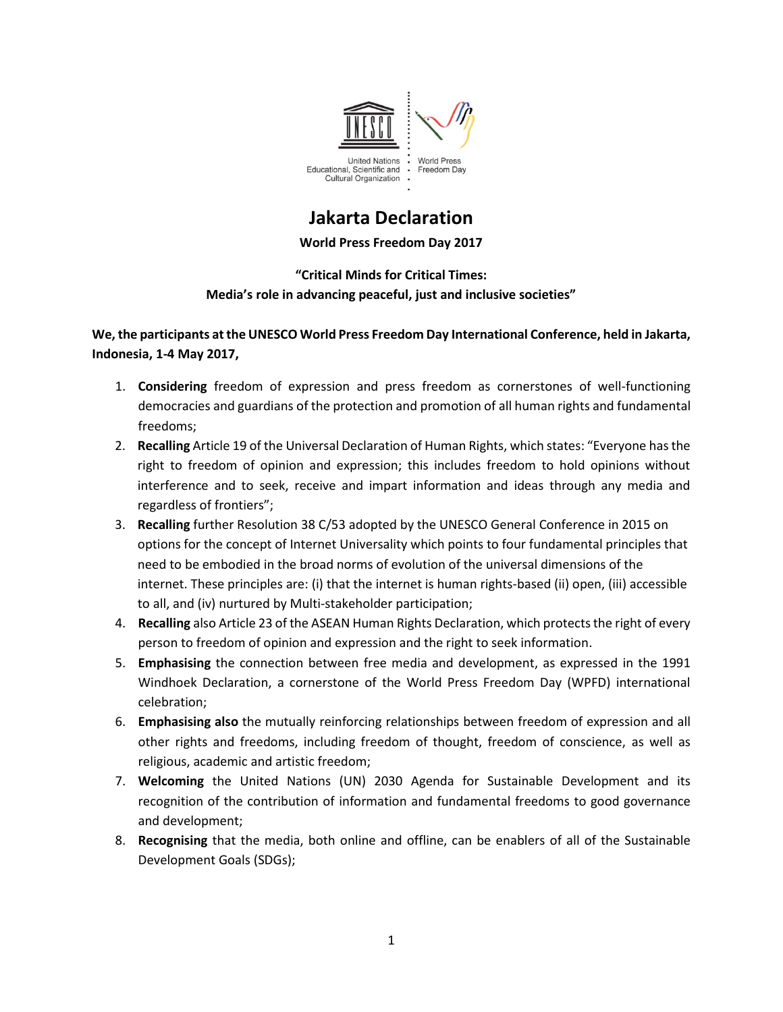

# **Jakarta Declaration**

**World Press Freedom Day 2017**

## **"Critical Minds for Critical Times: Media's role in advancing peaceful, just and inclusive societies"**

### **We, the participants at the UNESCO World Press Freedom Day International Conference, held in Jakarta, Indonesia, 1-4 May 2017,**

- 1. **Considering** freedom of expression and press freedom as cornerstones of well-functioning democracies and guardians of the protection and promotion of all human rights and fundamental freedoms;
- 2. **Recalling** Article 19 of the Universal Declaration of Human Rights, which states: "Everyone has the right to freedom of opinion and expression; this includes freedom to hold opinions without interference and to seek, receive and impart information and ideas through any media and regardless of frontiers";
- 3. **Recalling** further Resolution 38 C/53 adopted by the UNESCO General Conference in 2015 on options for the concept of Internet Universality which points to four fundamental principles that need to be embodied in the broad norms of evolution of the universal dimensions of the internet. These principles are: (i) that the internet is human rights-based (ii) open, (iii) accessible to all, and (iv) nurtured by Multi-stakeholder participation;
- 4. **Recalling** also Article 23 of the ASEAN Human Rights Declaration, which protects the right of every person to freedom of opinion and expression and the right to seek information.
- 5. **Emphasising** the connection between free media and development, as expressed in the 1991 Windhoek Declaration, a cornerstone of the World Press Freedom Day (WPFD) international celebration;
- 6. **Emphasising also** the mutually reinforcing relationships between freedom of expression and all other rights and freedoms, including freedom of thought, freedom of conscience, as well as religious, academic and artistic freedom;
- 7. **Welcoming** the United Nations (UN) 2030 Agenda for Sustainable Development and its recognition of the contribution of information and fundamental freedoms to good governance and development;
- 8. **Recognising** that the media, both online and offline, can be enablers of all of the Sustainable Development Goals (SDGs);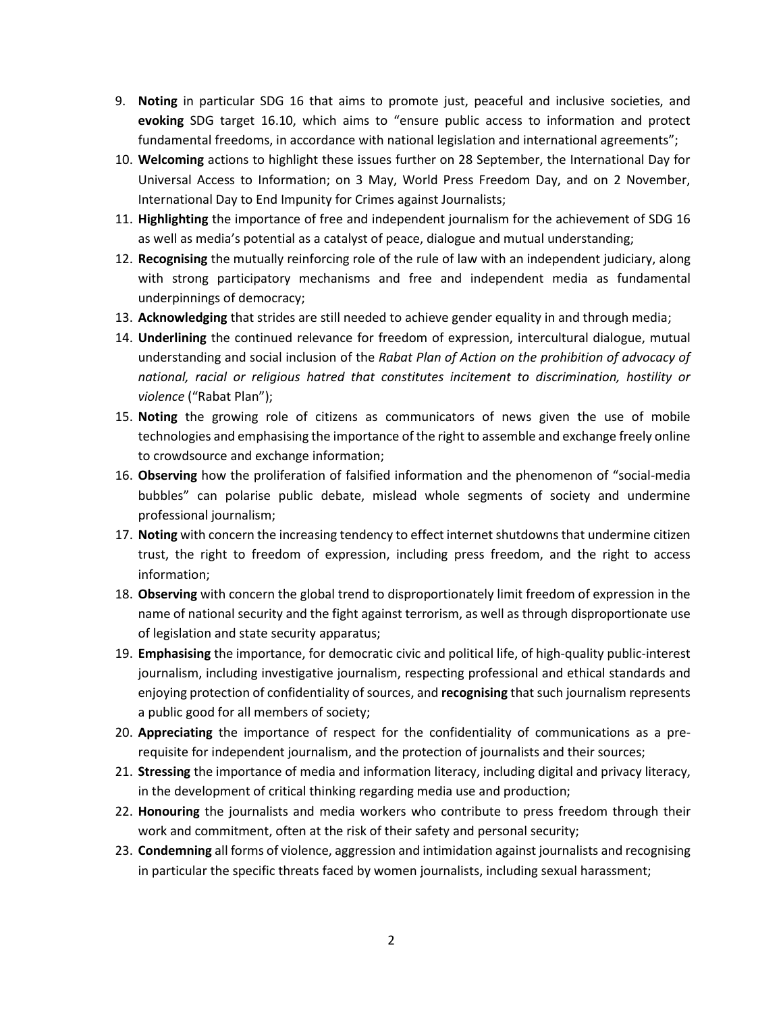- 9. **Noting** in particular SDG 16 that aims to promote just, peaceful and inclusive societies, and **evoking** SDG target 16.10, which aims to "ensure public access to information and protect fundamental freedoms, in accordance with national legislation and international agreements";
- 10. **Welcoming** actions to highlight these issues further on 28 September, the International Day for Universal Access to Information; on 3 May, World Press Freedom Day, and on 2 November, International Day to End Impunity for Crimes against Journalists;
- 11. **Highlighting** the importance of free and independent journalism for the achievement of SDG 16 as well as media's potential as a catalyst of peace, dialogue and mutual understanding;
- 12. **Recognising** the mutually reinforcing role of the rule of law with an independent judiciary, along with strong participatory mechanisms and free and independent media as fundamental underpinnings of democracy;
- 13. **Acknowledging** that strides are still needed to achieve gender equality in and through media;
- 14. **Underlining** the continued relevance for freedom of expression, intercultural dialogue, mutual understanding and social inclusion of the *Rabat Plan of Action on the prohibition of advocacy of national, racial or religious hatred that constitutes incitement to discrimination, hostility or violence* ("Rabat Plan");
- 15. **Noting** the growing role of citizens as communicators of news given the use of mobile technologies and emphasising the importance of the right to assemble and exchange freely online to crowdsource and exchange information;
- 16. **Observing** how the proliferation of falsified information and the phenomenon of "social-media bubbles" can polarise public debate, mislead whole segments of society and undermine professional journalism;
- 17. **Noting** with concern the increasing tendency to effect internet shutdownsthat undermine citizen trust, the right to freedom of expression, including press freedom, and the right to access information;
- 18. **Observing** with concern the global trend to disproportionately limit freedom of expression in the name of national security and the fight against terrorism, as well as through disproportionate use of legislation and state security apparatus;
- 19. **Emphasising** the importance, for democratic civic and political life, of high-quality public-interest journalism, including investigative journalism, respecting professional and ethical standards and enjoying protection of confidentiality of sources, and **recognising** that such journalism represents a public good for all members of society;
- 20. **Appreciating** the importance of respect for the confidentiality of communications as a prerequisite for independent journalism, and the protection of journalists and their sources;
- 21. **Stressing** the importance of media and information literacy, including digital and privacy literacy, in the development of critical thinking regarding media use and production;
- 22. **Honouring** the journalists and media workers who contribute to press freedom through their work and commitment, often at the risk of their safety and personal security;
- 23. **Condemning** all forms of violence, aggression and intimidation against journalists and recognising in particular the specific threats faced by women journalists, including sexual harassment;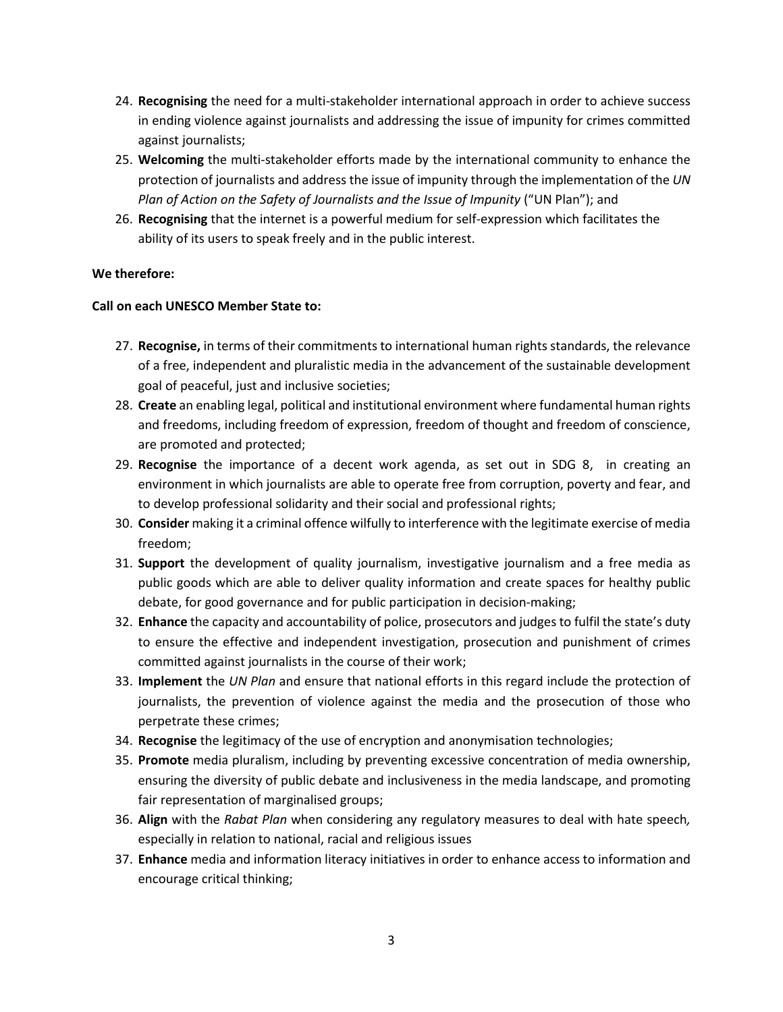- 24. **Recognising** the need for a multi-stakeholder international approach in order to achieve success in ending violence against journalists and addressing the issue of impunity for crimes committed against journalists;
- 25. **Welcoming** the multi-stakeholder efforts made by the international community to enhance the protection of journalists and address the issue of impunity through the implementation of the *UN Plan of Action on the Safety of Journalists and the Issue of Impunity* ("UN Plan"); and
- 26. **Recognising** that the internet is a powerful medium for self-expression which facilitates the ability of its users to speak freely and in the public interest.

#### **We therefore:**

#### **Call on each UNESCO Member State to:**

- 27. **Recognise,** in terms of their commitments to international human rights standards, the relevance of a free, independent and pluralistic media in the advancement of the sustainable development goal of peaceful, just and inclusive societies;
- 28. **Create** an enabling legal, political and institutional environment where fundamental human rights and freedoms, including freedom of expression, freedom of thought and freedom of conscience, are promoted and protected;
- 29. **Recognise** the importance of a decent work agenda, as set out in SDG 8, in creating an environment in which journalists are able to operate free from corruption, poverty and fear, and to develop professional solidarity and their social and professional rights;
- 30. **Consider** making it a criminal offence wilfully to interference with the legitimate exercise of media freedom;
- 31. **Support** the development of quality journalism, investigative journalism and a free media as public goods which are able to deliver quality information and create spaces for healthy public debate, for good governance and for public participation in decision-making;
- 32. **Enhance** the capacity and accountability of police, prosecutors and judges to fulfil the state's duty to ensure the effective and independent investigation, prosecution and punishment of crimes committed against journalists in the course of their work;
- 33. **Implement** the *UN Plan* and ensure that national efforts in this regard include the protection of journalists, the prevention of violence against the media and the prosecution of those who perpetrate these crimes;
- 34. **Recognise** the legitimacy of the use of encryption and anonymisation technologies;
- 35. **Promote** media pluralism, including by preventing excessive concentration of media ownership, ensuring the diversity of public debate and inclusiveness in the media landscape, and promoting fair representation of marginalised groups;
- 36. **Align** with the *Rabat Plan* when considering any regulatory measures to deal with hate speech*,* especially in relation to national, racial and religious issues
- 37. **Enhance** media and information literacy initiatives in order to enhance access to information and encourage critical thinking;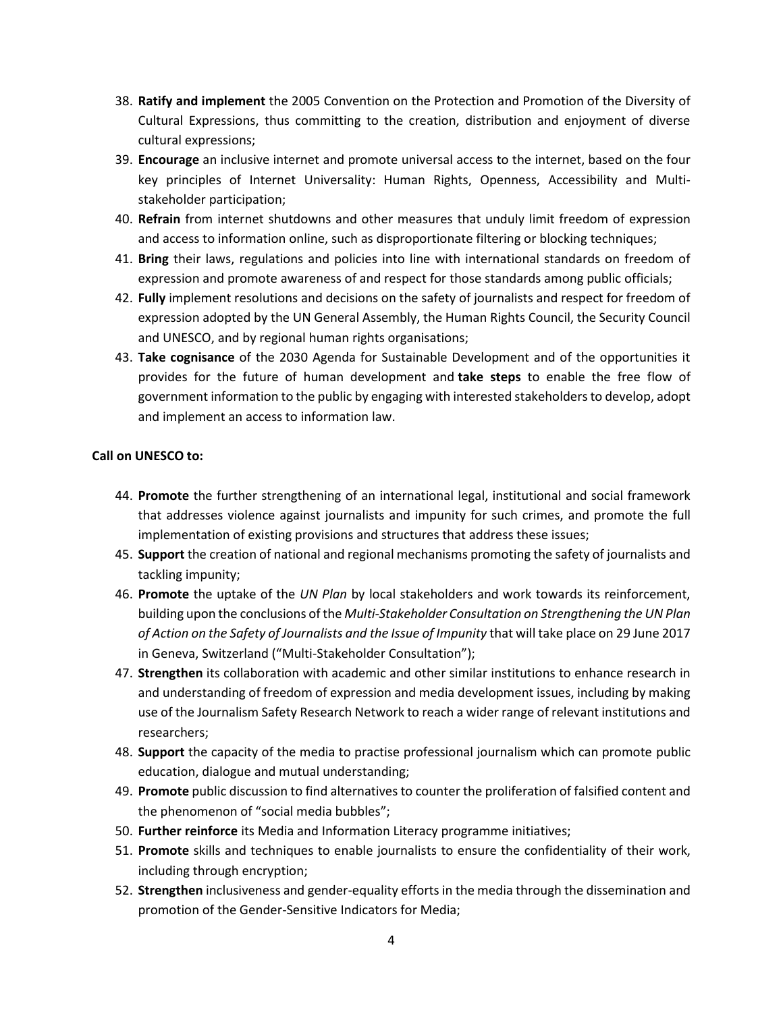- 38. **Ratify and implement** the 2005 Convention on the Protection and Promotion of the Diversity of Cultural Expressions, thus committing to the creation, distribution and enjoyment of diverse cultural expressions;
- 39. **Encourage** an inclusive internet and promote universal access to the internet, based on the four key principles of Internet Universality: Human Rights, Openness, Accessibility and Multistakeholder participation;
- 40. **Refrain** from internet shutdowns and other measures that unduly limit freedom of expression and access to information online, such as disproportionate filtering or blocking techniques;
- 41. **Bring** their laws, regulations and policies into line with international standards on freedom of expression and promote awareness of and respect for those standards among public officials;
- 42. **Fully** implement resolutions and decisions on the safety of journalists and respect for freedom of expression adopted by the UN General Assembly, the Human Rights Council, the Security Council and UNESCO, and by regional human rights organisations;
- 43. **Take cognisance** of the 2030 Agenda for Sustainable Development and of the opportunities it provides for the future of human development and **take steps** to enable the free flow of government information to the public by engaging with interested stakeholders to develop, adopt and implement an access to information law.

#### **Call on UNESCO to:**

- 44. **Promote** the further strengthening of an international legal, institutional and social framework that addresses violence against journalists and impunity for such crimes, and promote the full implementation of existing provisions and structures that address these issues;
- 45. **Support** the creation of national and regional mechanisms promoting the safety of journalists and tackling impunity;
- 46. **Promote** the uptake of the *UN Plan* by local stakeholders and work towards its reinforcement, building upon the conclusions of the *Multi-Stakeholder Consultation on Strengthening the UN Plan of Action on the Safety of Journalists and the Issue of Impunity* that will take place on 29 June 2017 in Geneva, Switzerland ("Multi-Stakeholder Consultation");
- 47. **Strengthen** its collaboration with academic and other similar institutions to enhance research in and understanding of freedom of expression and media development issues, including by making use of the Journalism Safety Research Network to reach a wider range of relevant institutions and researchers;
- 48. **Support** the capacity of the media to practise professional journalism which can promote public education, dialogue and mutual understanding;
- 49. **Promote** public discussion to find alternatives to counter the proliferation of falsified content and the phenomenon of "social media bubbles";
- 50. **Further reinforce** its Media and Information Literacy programme initiatives;
- 51. **Promote** skills and techniques to enable journalists to ensure the confidentiality of their work, including through encryption;
- 52. **Strengthen** inclusiveness and gender-equality efforts in the media through the dissemination and promotion of the Gender-Sensitive Indicators for Media;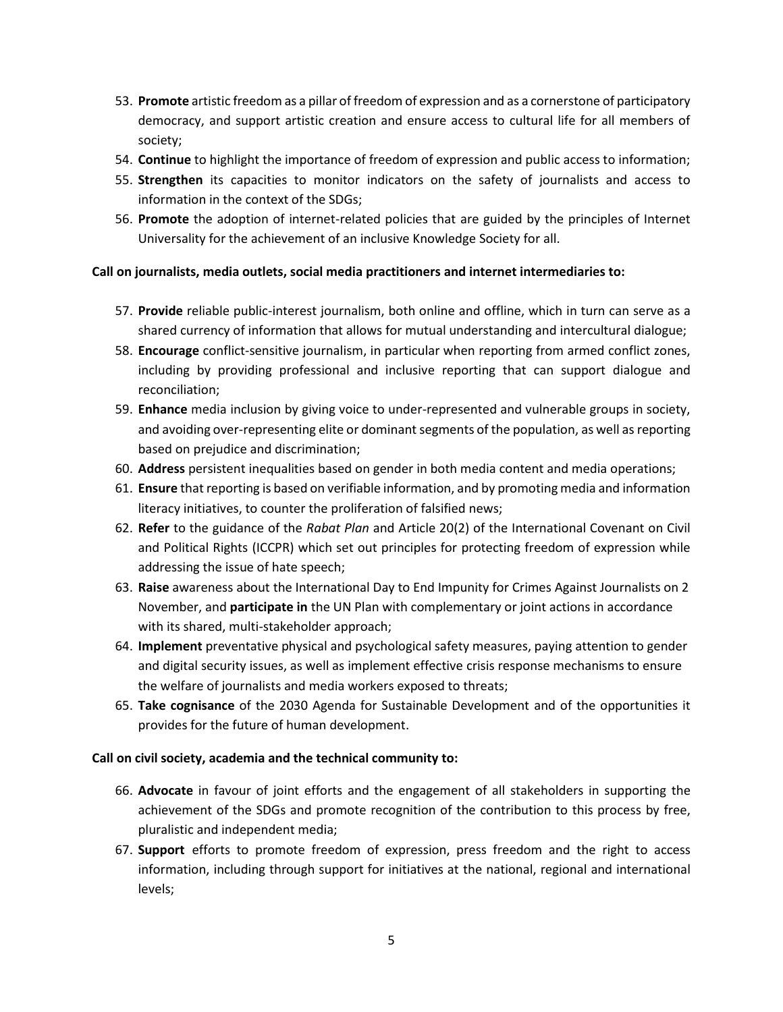- 53. **Promote** artistic freedom as a pillar of freedom of expression and as a cornerstone of participatory democracy, and support artistic creation and ensure access to cultural life for all members of society;
- 54. **Continue** to highlight the importance of freedom of expression and public access to information;
- 55. **Strengthen** its capacities to monitor indicators on the safety of journalists and access to information in the context of the SDGs;
- 56. **Promote** the adoption of internet-related policies that are guided by the principles of Internet Universality for the achievement of an inclusive Knowledge Society for all.

#### **Call on journalists, media outlets, social media practitioners and internet intermediaries to:**

- 57. **Provide** reliable public-interest journalism, both online and offline, which in turn can serve as a shared currency of information that allows for mutual understanding and intercultural dialogue;
- 58. **Encourage** conflict-sensitive journalism, in particular when reporting from armed conflict zones, including by providing professional and inclusive reporting that can support dialogue and reconciliation;
- 59. **Enhance** media inclusion by giving voice to under-represented and vulnerable groups in society, and avoiding over-representing elite or dominant segments of the population, as well as reporting based on prejudice and discrimination;
- 60. **Address** persistent inequalities based on gender in both media content and media operations;
- 61. **Ensure** that reporting is based on verifiable information, and by promoting media and information literacy initiatives, to counter the proliferation of falsified news;
- 62. **Refer** to the guidance of the *Rabat Plan* and Article 20(2) of the International Covenant on Civil and Political Rights (ICCPR) which set out principles for protecting freedom of expression while addressing the issue of hate speech;
- 63. **Raise** awareness about the International Day to End Impunity for Crimes Against Journalists on 2 November, and **participate in** the UN Plan with complementary or joint actions in accordance with its shared, multi-stakeholder approach;
- 64. **Implement** preventative physical and psychological safety measures, paying attention to gender and digital security issues, as well as implement effective crisis response mechanisms to ensure the welfare of journalists and media workers exposed to threats;
- 65. **Take cognisance** of the 2030 Agenda for Sustainable Development and of the opportunities it provides for the future of human development.

#### **Call on civil society, academia and the technical community to:**

- 66. **Advocate** in favour of joint efforts and the engagement of all stakeholders in supporting the achievement of the SDGs and promote recognition of the contribution to this process by free, pluralistic and independent media;
- 67. **Support** efforts to promote freedom of expression, press freedom and the right to access information, including through support for initiatives at the national, regional and international levels;